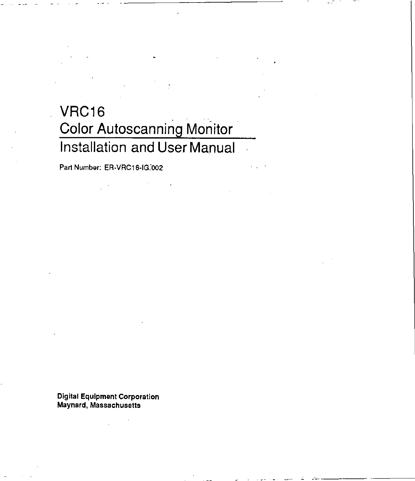## **VRC16** . - **Color Autoscanning Monitor Installation and User Manual**

Part Number: ER-VRC16-IG:002

Digital Equipment Corporation Maynard, Massachusetts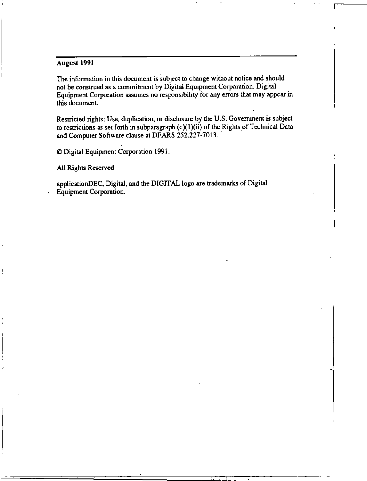#### August 1991

**The information in this document is subject to change without notice and should not be construed as a commitment by Digital Equipment Corporation. Digital Equipment Corporation assumes no responsibility for any errors that may appear in this document.** 

**Restricted rights: Use. duplication, or disclosure by the U.S. Government is subject**  to restrictions. as set forth in subparagraph  $(c)(1)(ii)$  of the Rights of Technical Data and Computer Software clause at DFARS 252.227-7013.

> I I  $\cdot$   $\vdots$

 $© Digital Equipment Corporation 1991.$ 

All Rights Reserved

applicationDEC, Digital, and the DIGIT AL logo are trademarks of Digital **Equipment Corporation.**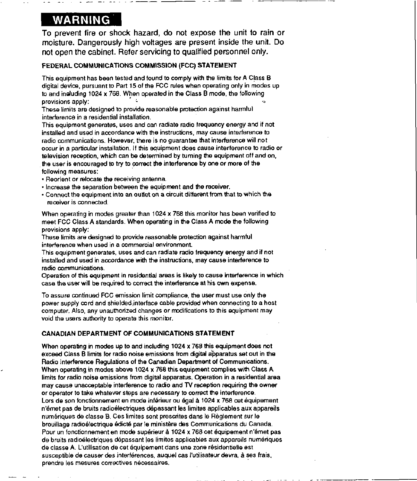### **WARNING**

To prevent fire or shock hazard, do not expose the unit to rain or moisture. Dangerously high voltages are present inside the unit. Do not open the cabinet. Refer servicing to qualified personnel only.

---- ----

#### FEDERAL COMMUNICATIONS COMMISSION (FCC) STATEMENT

This equipment has been tested and found to comply with the limits for A Class B digital device, pursuant to Part 15 of the FCC rules when operating only in modes up to and including 1024 x 768. When operated in the Class B mode, the following provisions apply:

These limits are designed to provide reasonable protection against harmful interference in a residential installation.

This equipment generates, uses and can radiate radio frequency energy and if not installed and used in accordance with the instructions, may cause interference to radio communications. However, there is no guarantee that interference will not occur in a particular installation. If this equipment does cause interference to radio or television reception, which can be determined by turning the equipment off and on, the user is encouraged to try to correct the interference by one or more of the following measures:

- Reorient or relocate the receiving antenna.
- Increase the separation between the equipment and the receiver.
- Connect the equipment into an outtet on a circuit different from that to which the receiver is connected.

When operating in modes greater than 1024 x 768 this monitor has been verified to meet FCC Class A standards. When operating in the Class A mode the following provisions apply:

These limits are designed to provide reasonable protection against harmful interference when used in a commercial environment.

This equipment generates, uses and can radiate radio frequency energy and if not installed and used in accordance with the instructions, *may* cause interference to radio communications.

Operation of this equipment in residential areas is likely to cause interfe(ence in which case the user will be required to correct the interference at his own expense.

To assure continued FCC emission limit compliance, the user must use Only the power supply cord and shielded;interface cable provided when connecting to a host computer, Also, any unauthorized changes or modifications to this equipment may void the users authority to operate this monitor.

#### CANADIAN DEPARTMENT OF COMMUNICATIONS STATEMENT

When operating in modes up to and including 1024 x 768 this equipment does not exceed Class B limits for radio noise emissions from digital apparatus set out in the Radio Interference Regulations of the Canadian Department of Communications. When operating in modes above 1024 x 768 this equipment complies with Class A limits tor radio noise emissions from digital apparatus. Operation in a residential area *may* cause unacceptable interference to radio and TV reception requiring the owner or operator to take whatever steps are necessary to correct the interference. Lors de son fonctionnement en mode inférieur ou égal à 1024 x 768 cet équipement n'émet pas de bruits radioélectriques dépassant les limites applicables aux appareils numériques de classe B. Ces limites sont prescrites dans le Règlement sur le brouillage radioélectrique édicté par le ministère des Communications du Canada. Pour un fonctionnement en mode supérieur à 1024 x 768 cet équipement n'émet pas de bruits radioélectriques dépassant les limites applicables aux appareils numériques de classe A. L'utilisation de cet équipement dans une zone résidentielle est susceptible de causer des interférences, auquel cas l'utilisateur devra, à ses frais, prendre les mesures correctives nécessaires.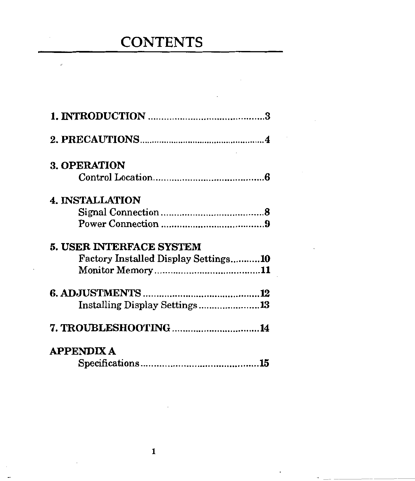# **CONTENTS**

 $\bar{z}$ 

 $\sim$ 

Ĭ.

| 3. OPERATION                         |  |
|--------------------------------------|--|
|                                      |  |
| <b>4. INSTALLATION</b>               |  |
|                                      |  |
|                                      |  |
| <b>5. USER INTERFACE SYSTEM</b>      |  |
| Factory Installed Display Settings10 |  |
|                                      |  |
|                                      |  |
|                                      |  |
| Installing Display Settings13        |  |
| 7. TROUBLESHOOTING 14                |  |
| <b>APPENDIX A</b>                    |  |
|                                      |  |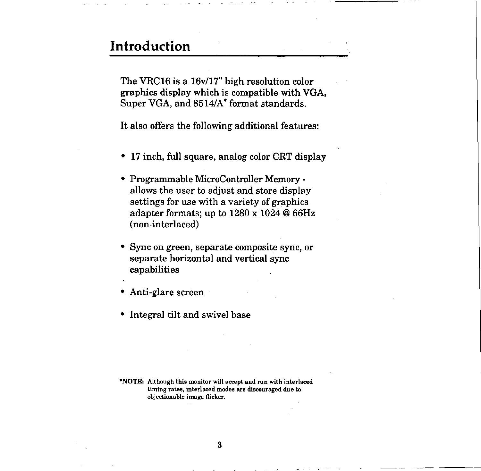## **Introduction**

The VRC16 is a 16v/17" high resolution color graphics display which is compatible with VGA, Super VGA, and 8514/A\* format standards.

It also offers the following additional features:

- 17 inch, full square, analog color CRT display
- Programmable MicroController Memory allows the user to adjust and store display settings for use with a variety of graphics adapter formats; up to 1280 x 1024 @ 66Hz (non-interlaced)
- Sync on green, separate composite sync, or separate horizontal and vertical sync capabilities
- Anti-glare screen
- Integral tilt and swivel base

**\*NOTE: Although this monitor will accept and run with interlaced timing rates, interlaced modes are discouraged due to objectionable image flicker.**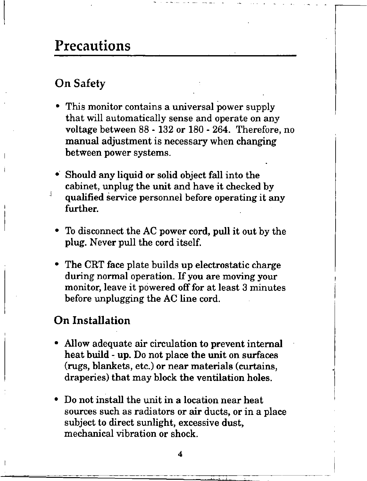## **Precautions**

### On Safety

ă.

- This monitor contains a universal power supply that will automatically sense and operate on any voltage between 88 - 132 or 180 - 264. Therefore, no manual adjustment is necessary when changing between power systems.
- Should any liquid or solid object fall into the cabinet, unplug the unit and have it checked by qualified service personnel before operating it any further.
- To disconnect the AC power cord, pull it out by the plug. Never pull the cord itself.
- The CRT face plate builds up electrostatic charge during normal operation. If you are moving your monitor, leave it powered off for at least 3 minutes before unplugging the AG line cord.

#### **On Installation**

- Allow adequate air circulation to prevent internal heat build - up. Do not place the unit on surfaces (rugs, blankets, etc.) or near materials (curtains, draperies) that may block the ventilation holes.
- Do not install the unit in a location near heat sources such as radiators or air ducts, or in a place subject to direct sunlight, excessive dust, mechanical vibration or shock.

4

 $\begin{array}{c} \n\downarrow \\ \n\downarrow \\ \n\end{array}$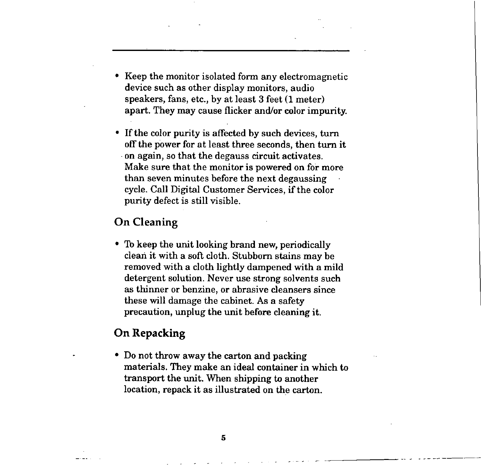- Keep the monitor isolated form any electromagnetic device such as other display monitors, audio speakers, fans, etc., by at least 3 feet (1 meter) apart. They may cause flicker and/or color impurity.
- If the color purity is affected by such devices, turn off the power for at least three seconds, then turn it -on again, so that the degauss circuit activates. Make sure that the monitor is powered on for more than seven minutes before the next degaussing cycle. Call Digital Customer Services, if the color purity defect is still visible.

#### **On Cleaning**

• To keep the unit looking brand new, periodically clean it with a soft cloth. Stubborn stains may be removed with a cloth lightly dampened with a mild detergent solution. Never use strong solvents such as thinner or benzine, or abrasive cleansers since these will damage the cabinet. As a safety precaution, unplug the unit before cleaning it.

#### **On Repacking**

• Do not throw away the carton and packing materials. They make an ideal container in which to transport the unit. When shipping to another location, repack it as illustrated on the carton.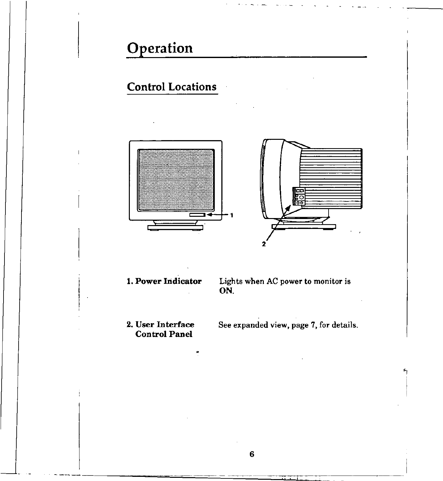# **Operation**

## **Control Locations**





**1. Power Indicator** 

Lights when AC power to monitor is **ON.** 

**2. User Interface Control Panel** 

 $\ddot{\mathcal{L}}$ 

See expanded view, page 7, for details.

 $\mathcal{L}$  $\vert$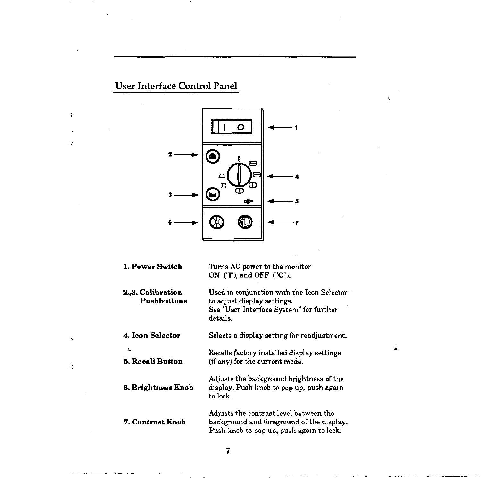## User Interface Control Panel

 $\bar{Y}$ 

 $\ddot{\phantom{a}}$ ٠,

 $\bar{\epsilon}$ 

 $\mathbb{R}$ 



| 1. Power Switch                  | Turns AC power to the monitor<br>ON $(T)$ , and OFF $(TO)$ .                                                                     |
|----------------------------------|----------------------------------------------------------------------------------------------------------------------------------|
| 2.,3. Calibration<br>Pushbuttons | Used in conjunction with the Icon Selector<br>to adjust display settings.<br>See "User Interface System" for further<br>details. |
| 4. Icon Selector                 | Selects a display setting for readjustment.                                                                                      |
| 忽<br>5. Recall Button            | Recalls factory installed display settings<br>(if any) for the current mode.                                                     |
| 6. Brightness Knob               | Adjusts the background brightness of the<br>display. Push knob to pop up, push again<br>to lock.                                 |
| 7. Contrast Knob                 | Adjusts the contrast level between the<br>background and foreground of the display.<br>Push knob to pop up, push again to lock.  |

 $\frac{1}{M^2}$ 

7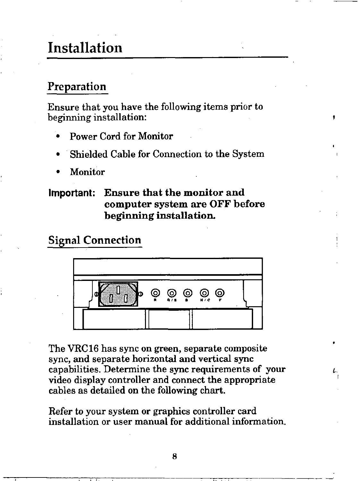## Installation

#### Preparation

Ensure that you have the following items prior to beginning installation:

- Power Cord for Monitor
- Shielded Cable for Connection to the System
- **Monitor**

#### **Important: Ensure that the monitor and computer system are OFF before beginning installation.**

### **Signal Connection**



The VRC16 has sync on green, separate composite sync, and separate horizontal and vertical sync capabilities. Determine the sync requirements of your video display controller and connect the appropriate cables as detailed on the following chart.

Refer to your system or graphics controller card installation or user manual for additional information.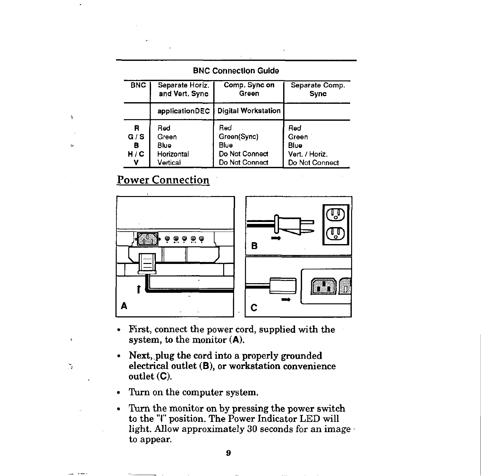| <b>BNC Connection Guide</b> |  |  |  |  |  |  |  |  |  |  |  |  |  |  |  |  |  |  |  |  |  |  |
|-----------------------------|--|--|--|--|--|--|--|--|--|--|--|--|--|--|--|--|--|--|--|--|--|--|
|-----------------------------|--|--|--|--|--|--|--|--|--|--|--|--|--|--|--|--|--|--|--|--|--|--|

| <b>BNC</b> | Separate Horiz. | Comp. Sync on              | Separate Comp. |
|------------|-----------------|----------------------------|----------------|
|            | and Vert. Sync  | Green                      | <b>Sync</b>    |
|            | applicationDEC  | <b>Digital Workstation</b> |                |
| R          | Red             | Red                        | Red            |
| G/S        | Green           | Green(Sync)                | Green          |
| в          | <b>Blue</b>     | Blue                       | Blue           |
| H / C      | Horizontal      | Do Not Connect             | Vert. / Horiz. |
| v          | Vertical        | Do Not Connect             | Do Not Connect |

#### Power Connection

 $\bar{\mathbf{v}}$ 

 $\epsilon$ 

 $\mathcal{L}_{\mathcal{A}}$ 



- First, connect the power cord, supplied with the system, to the monitor (A).
- Next,\_plug the cord into a properly grounded electrical outlet **(B),** or workstation convenience outlet (C).
- Turn on the computer system.
- Turn the monitor on by pressing the power switch to the "I" position. The Power Indicator LED will light. Allow approximately 30 seconds for an image · to appear.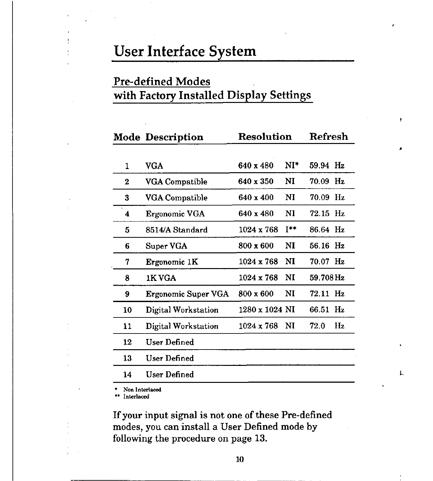## User Interface System

## Pre-defined Modes with Factory Installed Display Settings

|    | <b>Mode Description</b> | <b>Resolution</b> |                  | Refresh   |    |
|----|-------------------------|-------------------|------------------|-----------|----|
| 1  | VGA                     | 640 x 480         | $NI^*$           | 59.94 Hz  |    |
| 2  | VGA Compatible          | 640 x 350         | NI               | 70.09 Hz  |    |
| 3  | VGA Compatible          | 640 x 400         | NI               | 70.09 Hz  |    |
| 4  | Ergonomic VGA           | 640 x 480         | N <sub>I</sub>   | 72.15 Hz  |    |
| 5  | 8514/A Standard         | $1024 \times 768$ | $I^{\star\star}$ | 86.64 Hz  |    |
| 6  | Super VGA               | $800 \times 600$  | NI               | 56.16 Hz  |    |
| 7  | Ergonomic 1K            | $1024 \times 768$ | NI               | 70.07 Hz  |    |
| 8  | 1K VGA                  | $1024 \times 768$ | NI               | 59.708 Hz |    |
| 9  | Ergonomic Super VGA     | 800 x 600         | NI               | 72.11 Hz  |    |
| 10 | Digital Workstation     | 1280 x 1024 NI    |                  | 66.51 Hz  |    |
| 11 | Digital Workstation     | $1024 \times 768$ | $\mathbf{M}$     | 72.0      | Hz |
| 12 | User Defined            |                   |                  |           |    |
| 13 | User Defined            |                   |                  |           |    |
| 14 | User Defined            |                   |                  |           |    |

• Non Interlaced

•• Interlaced

If your input signal is not one of these Pre-defined modes, you can install a User Defined mode by following the procedure on page 13.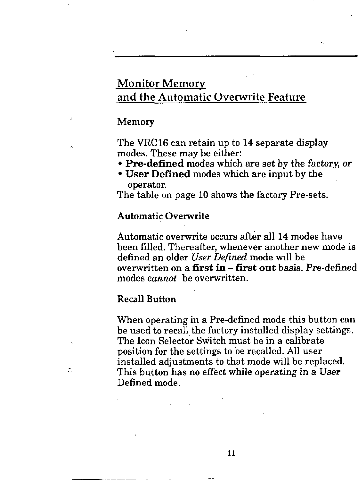### Monitor Memory and the Automatic Overwrite Feature

#### **Memory**

The VRC16 can retain up to 14 separate display modes. These may be either:

- **Pre-defined** modes which are set by the factory, or
- **User Defined** modes which are input by the operator.

The table on page 10 shows the factory Pre-sets.

#### **Automatic .Overwrite**

Automatic overwrite occurs after all 14 modes have been filled. Thereafter, whenever another new mode is defined an older *User Defined* mode will be overwritten on a **first** in-**first out** basis. Pre-defined modes *cannot* be overwritten.

#### **Recall Button**

Ż,

When operating in a Pre-defined mode this button can be used to recall the factory installed display settings. The Icon Selector Switch must be in a calibrate position for the settings to be recalled. All user installed adjustments to that mode will be replaced. This button has no effect while operating in a User Defined mode.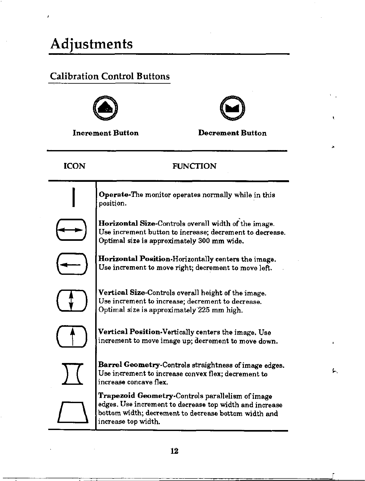# **Adjustments**

ł

### **Calibration Control Buttons**



e

Increment Button Decrement Button

| <b>ICON</b> | <b>FUNCTION</b>                                                                                                                                                                            |    |
|-------------|--------------------------------------------------------------------------------------------------------------------------------------------------------------------------------------------|----|
|             | Operate-The monitor operates normally while in this<br>position.                                                                                                                           |    |
|             | Horizontal Size-Controls overall width of the image.<br>Use increment button to increase; decrement to decrease.<br>Optimal size is approximately 300 mm wide.                             |    |
|             | <b>Horizontal Position-Horizontally centers the image.</b><br>Use increment to move right; decrement to move left.                                                                         |    |
|             | Vertical Size-Controls overall height of the image.<br>Use increment to increase; decrement to decrease.<br>Optimal size is approximately 225 mm high.                                     |    |
|             | Vertical Position-Vertically centers the image. Use<br>increment to move image up; decrement to move down.                                                                                 |    |
|             | <b>Barrel Geometry-Controls straightness of image edges.</b><br>Use increment to increase convex flex; decrement to<br>increase concave flex.                                              | ۶. |
|             | Trapezoid Geometry-Controls parallelism of image<br>edges. Use increment to decrease top width and increase<br>bottom width; decrement to decrease bottom width and<br>increase top width. |    |
|             |                                                                                                                                                                                            |    |

\_\_\_\_\_j

À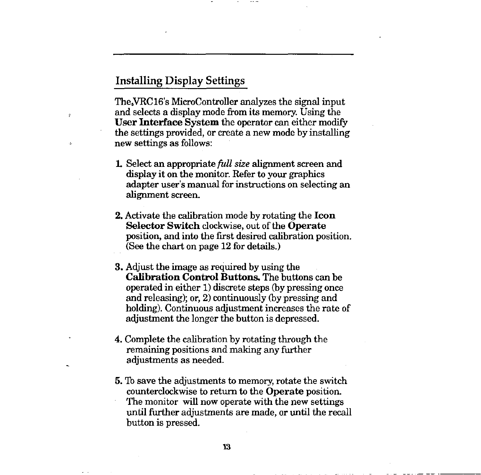#### Installing Display Settings

Ń

The,VRC16's MicroController analyzes the signal input and selects a display mode from its memory. Using the **User Interface System** the operator can either modify the settings provided, or create a new mode by installing new settings as follows:

- **L** Select an appropriate *full size* alignment screen and display it on the monitor. Refer to your graphics adapter user's manual for instructions on selecting an alignment screen.
- **2.** Activate the calibration mode by rotating the **Icon Selector Switch** clockwise, out of the **Operate**  position, and into the first desired calibration position. (See the chart on page 12 for details.)
- **3.** Adjust the image as required by using the **Calibration Control Buttons.** The buttons can be operated in either 1) discrete steps (by pressing once and releasing); or, 2) continuously (by pressing and holding). Continuous adjustment increases the rate of adjustment the longer the button is depressed.
- **4.** Complete the calibration by rotating through the remaining positions and making any further adjustments as needed.
- **5.** To save the adjustments to memory, rotate the switch counterclockwise to return to the **Operate** position. The monitor will now operate with the new settings until further adjustments are made, or until the recall button is pressed.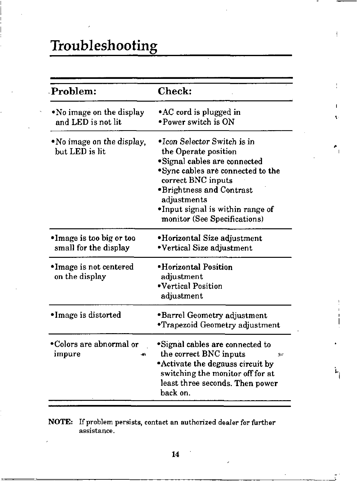# **Troubleshooting**

| Problem:                                          | <b>Check:</b>                                                                                                                                                                                                                                                          |
|---------------------------------------------------|------------------------------------------------------------------------------------------------------------------------------------------------------------------------------------------------------------------------------------------------------------------------|
| •No image on the display<br>and LED is not lit    | • AC cord is plugged in<br>$\bullet$ Power switch is ON                                                                                                                                                                                                                |
| • No image on the display,<br>but LED is lit      | $\bullet$ Icon Selector Switch is in<br>the Operate position<br>*Signal cables are connected<br>*Sync cables are connected to the<br>correct BNC inputs<br>*Brightness and Contrast<br>adjustments<br>•Input signal is within range of<br>monitor (See Specifications) |
| •Image is too big or too<br>small for the display | •Horizontal Size adjustment<br>•Vertical Size adjustment                                                                                                                                                                                                               |
| •Image is not centered<br>on the display          | •Horizontal Position<br>adjustment<br>•Vertical Position<br>adjustment                                                                                                                                                                                                 |
| •Image is distorted                               | •Barrel Geometry adjustment<br><b>*Trapezoid Geometry adjustment</b>                                                                                                                                                                                                   |
| •Colors are abnormal or<br>impure                 | *Signal cables are connected to<br>the correct BNC inputs<br>高空<br>• Activate the degauss circuit by<br>switching the monitor off for at<br>least three seconds. Then power<br>back on.                                                                                |

, I

 $\mathbf{r}_{\parallel}$ 

**NOTE: If problem persists, contact an authorized dealer for further assistance,** 

**14**